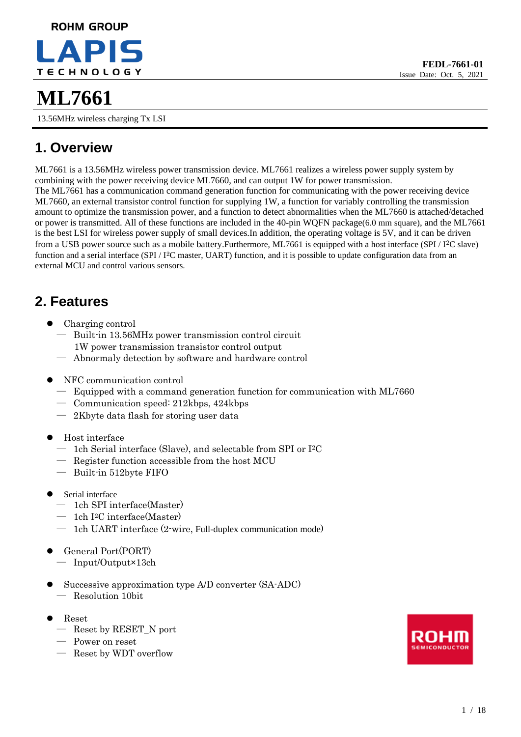# **ROHM GROUP TECHNOLOGY**

# **1. Overview**

ML7661 is a 13.56MHz wireless power transmission device. ML7661 realizes a wireless power supply system by combining with the power receiving device ML7660, and can output 1W for power transmission. The ML7661 has a communication command generation function for communicating with the power receiving device ML7660, an external transistor control function for supplying 1W, a function for variably controlling the transmission amount to optimize the transmission power, and a function to detect abnormalities when the ML7660 is attached/detached or power is transmitted. All of these functions are included in the 40-pin WQFN package(6.0 mm square), and the ML7661 is the best LSI for wireless power supply of small devices.In addition, the operating voltage is 5V, and it can be driven from a USB power source such as a mobile battery.Furthermore, ML7661 is equipped with a host interface (SPI / I<sup>2</sup>C slave) function and a serial interface (SPI / I<sup>2</sup>C master, UART) function, and it is possible to update configuration data from an external MCU and control various sensors.

# **2. Features**

- Charging control
	- ― Built-in 13.56MHz power transmission control circuit 1W power transmission transistor control output
	- ― Abnormaly detection by software and hardware control
- ⚫ NFC communication control
	- ― Equipped with a command generation function for communication with ML7660
	- ― Communication speed: 212kbps, 424kbps
	- ― 2Kbyte data flash for storing user data
- ⚫ Host interface
	- ― 1ch Serial interface (Slave), and selectable from SPI or I <sup>2</sup>C
	- ― Register function accessible from the host MCU
	- ― Built-in 512byte FIFO
- Serial interface
	- ― 1ch SPI interface(Master)
	- ― 1ch I <sup>2</sup>C interface(Master)
	- ― 1ch UART interface (2-wire, Full-duplex communication mode)
- ⚫ General Port(PORT) ― Input/Output×13ch
- ⚫ Successive approximation type A/D converter (SA-ADC) ― Resolution 10bit
- ⚫ Reset
	- ― Reset by RESET\_N port
	- ― Power on reset
	- ― Reset by WDT overflow



**FEDL-7661-01** Issue Date: Oct. 5, 2021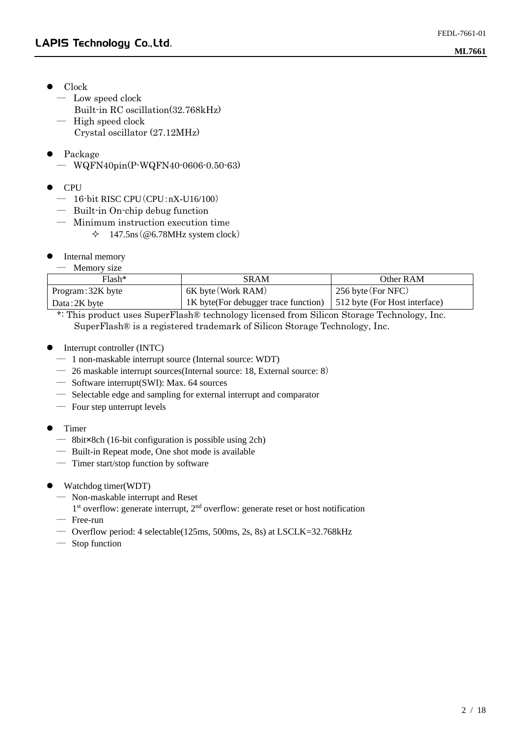- Clock
	- ― Low speed clock
		- Built-in RC oscillation(32.768kHz)
	- ― High speed clock Crystal oscillator (27.12MHz)
- ⚫ Package
	- ― WQFN40pin(P-WQFN40-0606-0.50-63)
- ⚫ CPU
	- ― 16-bit RISC CPU(CPU:nX-U16/100)
	- ― Built-in On-chip debug function
	- ― Minimum instruction execution time  $\div$  147.5ns (@6.78MHz system clock)
- ⚫ Internal memory

| Memory size |  |
|-------------|--|
|-------------|--|

| $Flash*$          | SRAM                                  | Other RAM                     |
|-------------------|---------------------------------------|-------------------------------|
| Program: 32K byte | 6K byte (Work RAM)                    | 256 byte $(For NFC)$          |
| Data: 2K byte     | 1K byte (For debugger trace function) | 512 byte (For Host interface) |

\*: This product uses SuperFlash® technology licensed from Silicon Storage Technology, Inc. SuperFlash® is a registered trademark of Silicon Storage Technology, Inc.

- ⚫ Interrupt controller (INTC)
	- ― 1 non-maskable interrupt source (Internal source: WDT)
	- ― 26 maskable interrupt sources(Internal source: 18, External source: 8)
	- ― Software interrupt(SWI): Max. 64 sources
	- ― Selectable edge and sampling for external interrupt and comparator
	- ― Four step unterrupt levels
- ⚫ Timer
	- ― 8bit×8ch (16-bit configuration is possible using 2ch)
	- ― Built-in Repeat mode, One shot mode is available
	- ― Timer start/stop function by software
- ⚫ Watchdog timer(WDT)
	- ― Non-maskable interrupt and Reset
	- 1<sup>st</sup> overflow: generate interrupt, 2<sup>nd</sup> overflow: generate reset or host notification ― Free-run
	- ― Overflow period: 4 selectable(125ms, 500ms, 2s, 8s) at LSCLK=32.768kHz
	- ― Stop function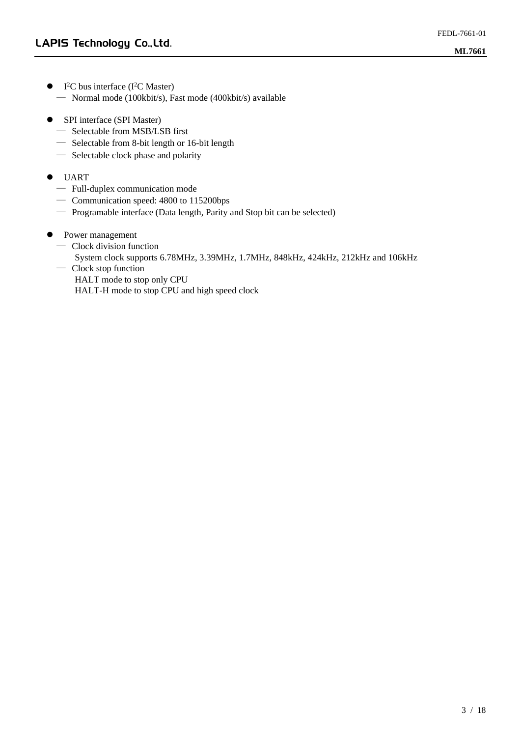- $\bullet$  I<sup>2</sup>C bus interface (I<sup>2</sup>C Master) ― Normal mode (100kbit/s), Fast mode (400kbit/s) available
- SPI interface (SPI Master)
	- ― Selectable from MSB/LSB first
	- ― Selectable from 8-bit length or 16-bit length
	- ― Selectable clock phase and polarity
- ⚫ UART
	- ― Full-duplex communication mode
	- ― Communication speed: 4800 to 115200bps
	- ― Programable interface (Data length, Parity and Stop bit can be selected)
- Power management
	- ― Clock division function
		- System clock supports 6.78MHz, 3.39MHz, 1.7MHz, 848kHz, 424kHz, 212kHz and 106kHz
	- ― Clock stop function
		- HALT mode to stop only CPU
		- HALT-H mode to stop CPU and high speed clock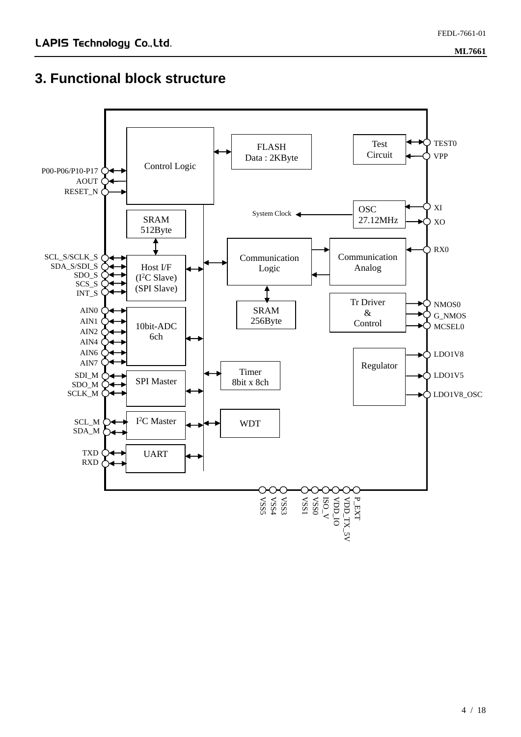#### **3. Functional block structure**

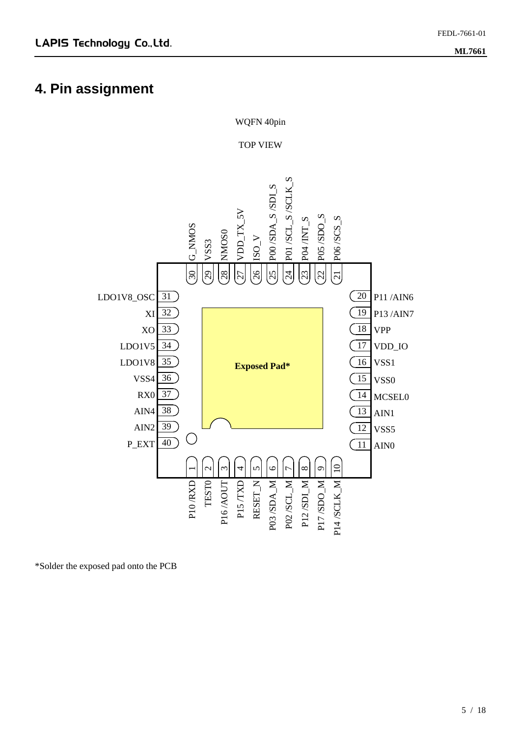### **4. Pin assignment**



\*Solder the exposed pad onto the PCB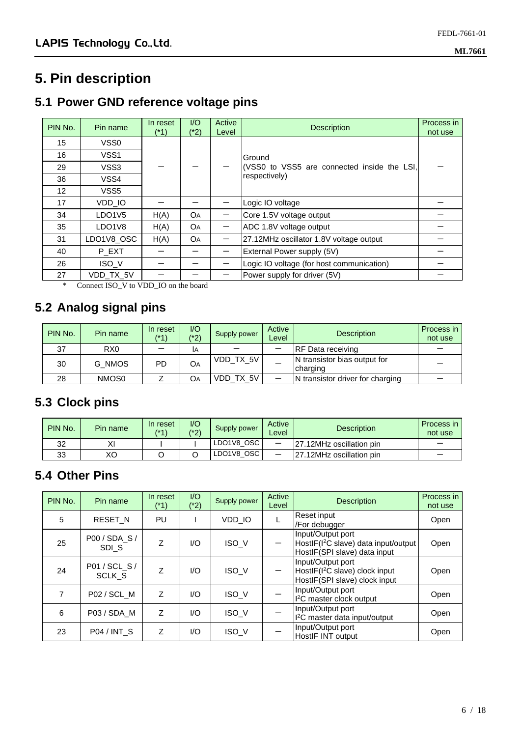### **5. Pin description**

#### **5.1 Power GND reference voltage pins**

| PIN No.           | Pin name                        | In reset<br>$(1^*1)$ | 1/O<br>(*2) | Active<br>Level | <b>Description</b>                          | Process in<br>not use |
|-------------------|---------------------------------|----------------------|-------------|-----------------|---------------------------------------------|-----------------------|
| 15                | VSS0                            |                      |             |                 |                                             |                       |
| 16                | VSS <sub>1</sub>                |                      |             |                 | Ground                                      |                       |
| 29                | VSS3                            |                      |             |                 | (VSS0 to VSS5 are connected inside the LSI, |                       |
| 36                | VSS4                            |                      |             |                 | respectively)                               |                       |
| $12 \overline{ }$ | VSS <sub>5</sub>                |                      |             |                 |                                             |                       |
| 17                | VDD_IO                          |                      |             |                 | Logic IO voltage                            |                       |
| 34                | LDO <sub>1</sub> V <sub>5</sub> | H(A)                 | <b>O</b> A  |                 | Core 1.5V voltage output                    |                       |
| 35                | LDO <sub>1</sub> V <sub>8</sub> | H(A)                 | <b>OA</b>   |                 | ADC 1.8V voltage output                     |                       |
| 31                | LDO1V8_OSC                      | H(A)                 | <b>OA</b>   |                 | 27.12MHz oscillator 1.8V voltage output     |                       |
| 40                | P_EXT                           |                      |             |                 | External Power supply (5V)                  |                       |
| 26                | ISO V                           |                      |             |                 | Logic IO voltage (for host communication)   |                       |
| 27                | VDD_TX_5V<br>$\mathbf{r}$       |                      | $-1$        |                 | Power supply for driver (5V)                |                       |

\* Connect ISO\_V to VDD\_IO on the board

#### **5.2 Analog signal pins**

| PIN No. | Pin name        | In reset<br>(*1) | $\overline{1}/\overline{O}$<br>$(*2)$ | Supply power | Active<br>Level | <b>Description</b>                       | Process in<br>not use |
|---------|-----------------|------------------|---------------------------------------|--------------|-----------------|------------------------------------------|-----------------------|
| 37      | R <sub>X0</sub> |                  | ΙA                                    |              |                 | <b>RF Data receiving</b>                 |                       |
| 30      | G NMOS          | PD               | <b>O</b> A                            | VDD TX 5V    |                 | N transistor bias output for<br>charging |                       |
| 28      | NMOS0           |                  | OА                                    | VDD_TX_5V    |                 | N transistor driver for charging         |                       |

### **5.3 Clock pins**

| PIN No. | Pin name | In reset<br>$(*1)$ | I/C<br>$(* \cap$<br>$\epsilon$ | Supply power | Active<br>_evel | <b>Description</b>       | Process in<br>not use |
|---------|----------|--------------------|--------------------------------|--------------|-----------------|--------------------------|-----------------------|
| 32      | v۱       |                    |                                | LDO1V8 OSC   | –               | 27.12MHz oscillation pin |                       |
| 33      | XΟ       |                    |                                | LDO1V8 OSC   | –               | 27.12MHz oscillation pin |                       |

#### **5.4 Other Pins**

| PIN No. | Pin name                | In reset<br>(*1) | I/O<br>$(2^*2)$ | Supply power | Active<br>Level | <b>Description</b>                                                                                    | Process in<br>not use |
|---------|-------------------------|------------------|-----------------|--------------|-----------------|-------------------------------------------------------------------------------------------------------|-----------------------|
| 5       | <b>RESET N</b>          | PU               |                 | VDD_IO       |                 | Reset input<br>/For debugger                                                                          | Open                  |
| 25      | P00/SDA S/<br>SDI S     | Z                | I/O             | ISO_V        |                 | Input/Output port<br>HostIF(I <sup>2</sup> C slave) data input/output<br>HostlF(SPI slave) data input | Open                  |
| 24      | P01 / SCL_S /<br>SCLK S | Z                | I/O             | ISO_V        |                 | Input/Output port<br>HostIF(I <sup>2</sup> C slave) clock input<br>HostlF(SPI slave) clock input      | Open                  |
| 7       | P02 / SCL_M             | Z                | I/O             | ISO_V        |                 | Input/Output port<br>I <sup>2</sup> C master clock output                                             | Open                  |
| 6       | P03 / SDA_M             | Z                | I/O             | ISO_V        |                 | Input/Output port<br>I <sup>2</sup> C master data input/output                                        | Open                  |
| 23      | P04 / INT_S             | Z                | I/O             | ISO_V        |                 | Input/Output port<br>HostIF INT output                                                                | Open                  |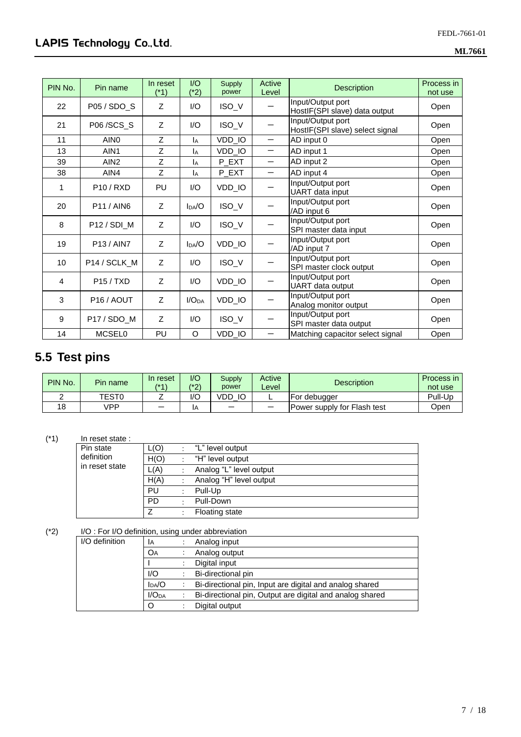| PIN No. | Pin name               | In reset<br>(*1) | I/O<br>$(*2)$     | Supply<br>power | Active<br>Level | <b>Description</b>                                   | Process in<br>not use |
|---------|------------------------|------------------|-------------------|-----------------|-----------------|------------------------------------------------------|-----------------------|
| 22      | P05 / SDO_S            | Z                | 1/O               | ISO_V           |                 | Input/Output port<br>HostlF(SPI slave) data output   | Open                  |
| 21      | P06/SCS_S              | Z                | 1/O               | ISO_V           |                 | Input/Output port<br>HostIF(SPI slave) select signal | Open                  |
| 11      | AIN <sub>0</sub>       | Z                | Iд                | VDD_IO          |                 | AD input 0                                           | Open                  |
| 13      | AIN <sub>1</sub>       | Z                | IA                | VDD_IO          | —               | AD input 1                                           | Open                  |
| 39      | AIN <sub>2</sub>       | Z                | Iд                | P EXT           | —               | AD input 2                                           | Open                  |
| 38      | AIN4                   | Z                | IA                | P_EXT           | -               | AD input 4                                           | Open                  |
| 1       | <b>P10/RXD</b>         | PU               | I/O               | VDD_IO          |                 | Input/Output port<br>UART data input                 | Open                  |
| 20      | <b>P11/AIN6</b>        | Z                | $I_{DA}/O$        | ISO_V           |                 | Input/Output port<br>/AD input 6                     | Open                  |
| 8       | P12 / SDI_M            | Z                | 1/O               | ISO_V           |                 | Input/Output port<br>SPI master data input           | Open                  |
| 19      | <b>P13/AIN7</b>        | Z                | $I_{DA}/O$        | VDD_IO          |                 | Input/Output port<br>/AD input 7                     | Open                  |
| 10      | P14 / SCLK_M           | Z                | 1/O               | ISO_V           |                 | Input/Output port<br>SPI master clock output         | Open                  |
| 4       | P15/TXD                | Z                | I/O               | VDD_IO          |                 | Input/Output port<br>UART data output                | Open                  |
| 3       | P <sub>16</sub> / AOUT | Z                | I/O <sub>DA</sub> | VDD_IO          |                 | Input/Output port<br>Analog monitor output           | Open                  |
| 9       | P17 / SDO_M            | $\overline{z}$   | I/O               | ISO_V           |                 | Input/Output port<br>SPI master data output          | Open                  |
| 14      | <b>MCSEL0</b>          | PU               | O                 | VDD_IO          |                 | Matching capacitor select signal                     | Open                  |

### **5.5 Test pins**

| PIN No. | Pin name     | In reset<br>$(*1)$ | 1/O<br>(*2) | Supply<br>power | Active<br>Level | <b>Description</b>          | Process in<br>not use |
|---------|--------------|--------------------|-------------|-----------------|-----------------|-----------------------------|-----------------------|
|         | <b>TEST0</b> |                    | l/C         | VDD<br>IC       |                 | For debugger                | Pull-Up               |
| 18      | ∨PP          | –                  | ΙA          | –               |                 | Power supply for Flash test | Open                  |

#### (\*1) In reset state :

| Pin state      | L(O)      | "L" level output        |
|----------------|-----------|-------------------------|
| definition     | H(O)      | "H" level output        |
| in reset state | L(A)      | Analog "L" level output |
|                | H(A)      | Analog "H" level output |
|                | PU        | Pull-Up                 |
|                | <b>PD</b> | Pull-Down               |
|                | 7         | <b>Floating state</b>   |

# (\*2) I/O : For I/O definition, using under abbreviation

| $\sim$ . The model matrix and the andormal distribution |                   |                                                          |
|---------------------------------------------------------|-------------------|----------------------------------------------------------|
| I/O definition                                          | ΙA                | Analog input                                             |
|                                                         | OA                | Analog output                                            |
|                                                         |                   | Digital input                                            |
| 1/O                                                     |                   | Bi-directional pin                                       |
|                                                         | $I_{DA}/O$        | Bi-directional pin, Input are digital and analog shared  |
|                                                         | I/O <sub>DA</sub> | Bi-directional pin, Output are digital and analog shared |
|                                                         | O                 | Digital output                                           |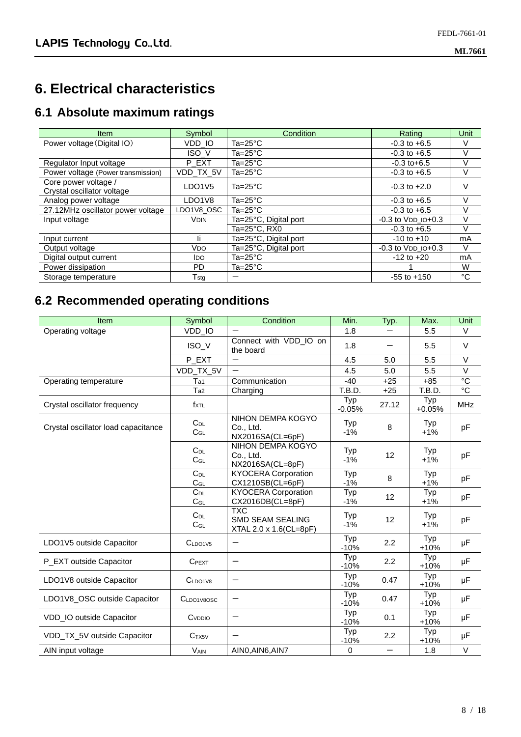# **6. Electrical characteristics**

### **6.1 Absolute maximum ratings**

| <b>Item</b>                                        | Symbol                          | Condition             | Rating                     | Unit |
|----------------------------------------------------|---------------------------------|-----------------------|----------------------------|------|
| Power voltage (Digital IO)                         | VDD IO                          | Ta=25 $^{\circ}$ C    | $-0.3$ to $+6.5$           | V    |
|                                                    | ISO_V                           | Ta=25 $^{\circ}$ C    | $-0.3$ to $+6.5$           | V    |
| Regulator Input voltage                            | P EXT                           | Ta=25°C               | $-0.3$ to $+6.5$           | V    |
| Power voltage (Power transmission)                 | VDD_TX_5V                       | Ta=25 $^{\circ}$ C    | $-0.3$ to $+6.5$           | V    |
| Core power voltage /<br>Crystal oscillator voltage | LDO <sub>1</sub> V <sub>5</sub> | $Ta = 25^{\circ}C$    | $-0.3$ to $+2.0$           | V    |
| Analog power voltage                               | LDO1V8                          | Ta= $25^{\circ}$ C    | $-0.3$ to $+6.5$           | V    |
| 27.12MHz oscillator power voltage                  | LDO1V8 OSC                      | $Ta = 25^{\circ}C$    | $-0.3$ to $+6.5$           | v    |
| Input voltage                                      | <b>VDIN</b>                     | Ta=25°C, Digital port | $-0.3$ to $VDD$ $IO + 0.3$ | V    |
|                                                    |                                 | Ta=25°C. RX0          | $-0.3$ to $+6.5$           | V    |
| Input current                                      | li.                             | Ta=25°C, Digital port | $-10$ to $+10$             | mA   |
| Output voltage                                     | <b>V<sub>DO</sub></b>           | Ta=25°C, Digital port | $-0.3$ to $VDD$ $IO+0.3$   | V    |
| Digital output current                             | ldo.                            | $Ta = 25^{\circ}C$    | $-12$ to $+20$             | mA   |
| Power dissipation                                  | PD.                             | Ta=25 $^{\circ}$ C    |                            | W    |
| Storage temperature                                | $\mathsf{T}_{\mathsf{std}}$     |                       | $-55$ to $+150$            | °C   |

### **6.2 Recommended operating conditions**

| Item                                | Symbol               | Condition                                                       | Min.            | Typ.                     | Max.            | Unit           |
|-------------------------------------|----------------------|-----------------------------------------------------------------|-----------------|--------------------------|-----------------|----------------|
| Operating voltage                   | VDD_IO               |                                                                 | 1.8             |                          | 5.5             | $\vee$         |
|                                     | ISO_V                | Connect with VDD_IO on<br>the board                             | 1.8             |                          | 5.5             | $\vee$         |
|                                     | P_EXT                |                                                                 | 4.5             | 5.0                      | 5.5             | $\vee$         |
|                                     | VDD_TX_5V            |                                                                 | 4.5             | 5.0                      | 5.5             | $\vee$         |
| Operating temperature               | Ta1                  | Communication                                                   | $-40$           | $+25$                    | $+85$           | $\overline{c}$ |
|                                     | Ta2                  | Charging                                                        | T.B.D.          | $+25$                    | T.B.D.          | $\overline{c}$ |
| Crystal oscillator frequency        | fxtl                 |                                                                 | Typ<br>$-0.05%$ | 27.12                    | Typ<br>$+0.05%$ | <b>MHz</b>     |
| Crystal oscillator load capacitance | $C_{DL}$<br>$C_{GL}$ | NIHON DEMPA KOGYO<br>Co., Ltd.<br>NX2016SA(CL=6pF)              | Typ<br>$-1%$    | 8                        | Typ<br>$+1%$    | pF             |
|                                     | $C_{DL}$<br>$C_{GL}$ | <b>NIHON DEMPA KOGYO</b><br>Co., Ltd.<br>NX2016SA(CL=8pF)       | Typ<br>$-1%$    | 12                       | Typ<br>$+1%$    | pF             |
|                                     | $C_{DL}$<br>$C_{GL}$ | <b>KYOCERA Corporation</b><br>CX1210SB(CL=6pF)                  | Typ<br>$-1%$    | 8                        | Typ<br>$+1%$    | pF             |
|                                     | $C_{DL}$<br>$C_{GL}$ | <b>KYOCERA Corporation</b><br>CX2016DB(CL=8pF)                  | Typ<br>$-1%$    | 12                       | Typ<br>$+1%$    | pF             |
|                                     | $C_{DL}$<br>$C_{GL}$ | <b>TXC</b><br><b>SMD SEAM SEALING</b><br>XTAL 2.0 x 1.6(CL=8pF) | Typ<br>$-1%$    | 12                       | Typ<br>$+1%$    | pF             |
| LDO1V5 outside Capacitor            | C <sub>LDO1V5</sub>  | —                                                               | Typ<br>$-10%$   | 2.2                      | Typ<br>$+10%$   | μF             |
| P_EXT outside Capacitor             | <b>CPEXT</b>         |                                                                 | Typ<br>$-10%$   | 2.2                      | Typ<br>+10%     | $\mu$ F        |
| LDO1V8 outside Capacitor            | C <sub>LDO1V8</sub>  |                                                                 | Typ<br>$-10%$   | 0.47                     | Typ<br>$+10%$   | $\mu$ F        |
| LDO1V8_OSC outside Capacitor        | CLDO1V8OSC           |                                                                 | Typ<br>$-10%$   | 0.47                     | Typ<br>$+10%$   | $\mu$ F        |
| VDD_IO outside Capacitor            | CVDDIO               |                                                                 | Typ<br>$-10%$   | 0.1                      | Typ<br>$+10%$   | μF             |
| VDD_TX_5V outside Capacitor         | C <sub>TX5V</sub>    |                                                                 | Typ<br>$-10%$   | 2.2                      | Typ<br>$+10%$   | μF             |
| AIN input voltage                   | <b>VAIN</b>          | AIN0, AIN6, AIN7                                                | $\mathbf 0$     | $\overline{\phantom{0}}$ | 1.8             | $\vee$         |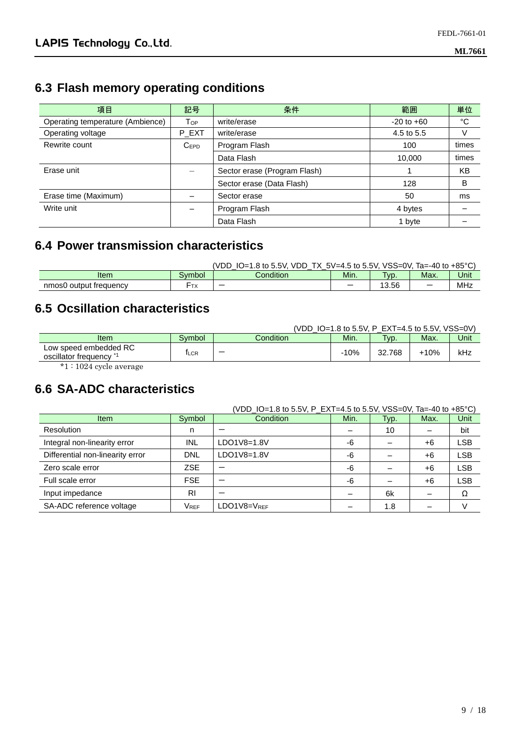### **6.3 Flash memory operating conditions**

| 項目                               | 記号                     | 条件                           | 範囲             | 単位    |
|----------------------------------|------------------------|------------------------------|----------------|-------|
| Operating temperature (Ambience) | <b>T</b> <sub>OP</sub> | write/erase                  | $-20$ to $+60$ | °C    |
| Operating voltage                | P EXT                  | write/erase                  | 4.5 to 5.5     | V     |
| Rewrite count                    | $C_{EPD}$              | Program Flash                | 100            | times |
|                                  |                        | Data Flash                   | 10,000         | times |
| Erase unit                       |                        | Sector erase (Program Flash) |                | KB    |
|                                  |                        | Sector erase (Data Flash)    | 128            | B     |
| Erase time (Maximum)             |                        | Sector erase                 | 50             | ms    |
| Write unit                       |                        | Program Flash                | 4 bytes        |       |
|                                  |                        | Data Flash                   | 1 byte         |       |

#### **6.4 Power transmission characteristics**

|                        |        | (VDD<br><b>VDD</b><br>.8 to 5.5V.<br>. "≔ل. | $5V=4.5$ to 5.5V, | VSS=0V. | Ta=-40 to $+85^{\circ}$ C |      |
|------------------------|--------|---------------------------------------------|-------------------|---------|---------------------------|------|
| Item                   | Svmbol | Condition                                   | Min.              | $TVD$ . | Max.                      | Unit |
| nmos0 output frequency | ੋ™ ⊺   |                                             |                   | 13.56   |                           | MHz  |

#### **6.5 Ocsillation characteristics**

|                                               |        |           | (VDD $IO=1.8$ to 5.5V, P EXT=4.5 to 5.5V, VSS=0V) |                   |      |      |
|-----------------------------------------------|--------|-----------|---------------------------------------------------|-------------------|------|------|
| Item                                          | Symbol | Condition | Min.                                              | T <sub>V</sub> p. | Max. | Unit |
| Low speed embedded RC<br>oscillator frequency | ⊺∟CR   |           | $-10%$                                            | 32.768            | +10% | kHz  |
| $*1 \cdot 1094$ evelopmone                    |        |           |                                                   |                   |      |      |

\*1 : 1024 cycle average

#### **6.6 SA-ADC characteristics**

|                                  | (VDD_IO=1.8 to 5.5V, P_EXT=4.5 to 5.5V, VSS=0V, Ta=-40 to +85°C) |             |      |      |      |            |
|----------------------------------|------------------------------------------------------------------|-------------|------|------|------|------------|
| <b>Item</b>                      | Symbol                                                           | Condition   | Min. | Typ. | Max. | Unit       |
| Resolution                       | n                                                                |             |      | 10   |      | bit        |
| Integral non-linearity error     | INL                                                              | LDO1V8=1.8V | -6   |      | +6   | <b>LSB</b> |
| Differential non-linearity error | <b>DNL</b>                                                       | LDO1V8=1.8V | -6   |      | +6   | <b>LSB</b> |
| Zero scale error                 | ZSE                                                              |             | -6   |      | $+6$ | <b>LSB</b> |
| Full scale error                 | <b>FSE</b>                                                       |             | -6   |      | +6   | <b>LSB</b> |
| Input impedance                  | RI                                                               |             |      | 6k   |      | Ω          |
| SA-ADC reference voltage         | <b>VREF</b>                                                      | LDO1V8=VREF |      | 1.8  |      |            |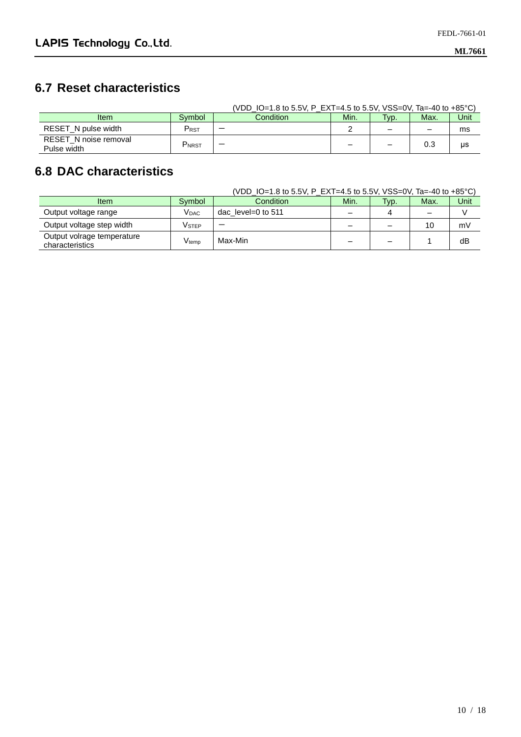#### **6.7 Reset characteristics**

|                                      |           | (VDD IO=1.8 to 5.5V, P EXT=4.5 to 5.5V, VSS=0V, Ta=-40 to +85 °C) |                          |                          |                          |      |
|--------------------------------------|-----------|-------------------------------------------------------------------|--------------------------|--------------------------|--------------------------|------|
| <b>Item</b>                          | Symbol    | <b>Condition</b>                                                  | Min.                     | Typ.                     | Max.                     | Unit |
| RESET N pulse width                  | $P_{RST}$ |                                                                   |                          | $\overline{\phantom{0}}$ | $\overline{\phantom{0}}$ | ms   |
| RESET_N noise removal<br>Pulse width | PNRST     |                                                                   | $\overline{\phantom{0}}$ | $\overline{\phantom{0}}$ | 0.3                      | μs   |

#### **6.8 DAC characteristics**

|                                               |                              | (VDD_IO=1.8 to 5.5V, P_EXT=4.5 to 5.5V, VSS=0V, Ta=-40 to +85°C) |                          |      |      |      |
|-----------------------------------------------|------------------------------|------------------------------------------------------------------|--------------------------|------|------|------|
| <b>Item</b>                                   | Symbol                       | Condition                                                        | Min.                     | Typ. | Max. | Unit |
| Output voltage range                          | Vdac                         | dac level=0 to $511$                                             | $\overline{\phantom{0}}$ | 4    |      |      |
| Output voltage step width                     | Vstep                        |                                                                  |                          | -    | 10   | mV   |
| Output volrage temperature<br>characteristics | $\mathsf{V}_{\mathsf{temp}}$ | Max-Min                                                          | -                        |      |      | dB   |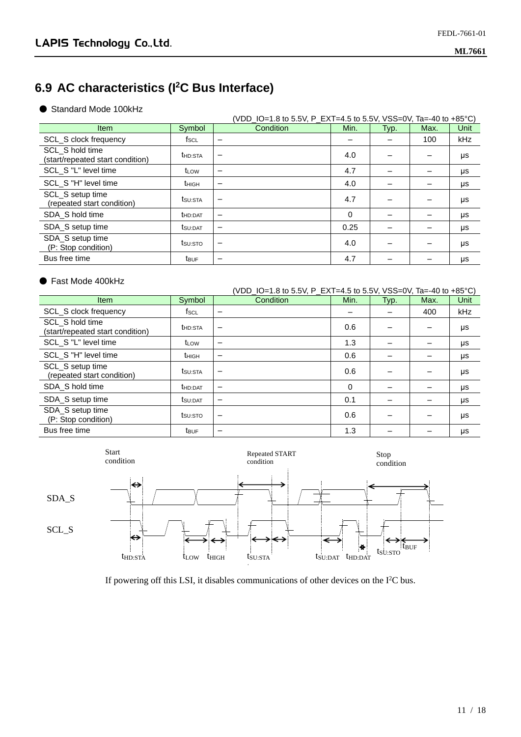### **6.9 AC characteristics (I<sup>2</sup>C Bus Interface)**

#### ● Standard Mode 100kHz

|                                                     |                     | (VDD_IO=1.8 to 5.5V, P_EXT=4.5 to 5.5V, VSS=0V, Ta=-40 to +85°C) |      |      |      |      |
|-----------------------------------------------------|---------------------|------------------------------------------------------------------|------|------|------|------|
| <b>Item</b>                                         | Symbol              | Condition                                                        | Min. | Typ. | Max. | Unit |
| SCL_S clock frequency                               | fscL                | $\overline{\phantom{0}}$                                         |      |      | 100  | kHz  |
| SCL_S hold time<br>(start/repeated start condition) | t <sub>HD:STA</sub> | $\overline{\phantom{0}}$                                         | 4.0  |      |      | μs   |
| SCL_S "L" level time                                | t∟ow                | -                                                                | 4.7  |      |      | μs   |
| SCL_S "H" level time                                | thigh               |                                                                  | 4.0  |      |      | μs   |
| SCL S setup time<br>(repeated start condition)      | tsu:Sta             | $\overline{\phantom{0}}$                                         | 4.7  |      |      | μs   |
| SDA S hold time                                     | <b>t</b> HD:DAT     | $\overline{\phantom{m}}$                                         | 0    |      |      | μs   |
| SDA S setup time                                    | tsu:DAT             | -                                                                | 0.25 |      |      | μs   |
| SDA_S setup time<br>(P: Stop condition)             | tsu:sto             |                                                                  | 4.0  |      |      | μs   |
| Bus free time                                       | t <sub>BUF</sub>    | $\overline{\phantom{m}}$                                         | 4.7  |      |      | μs   |

#### ● Fast Mode 400kHz

|                                                     |                   | (VDD_IO=1.8 to 5.5V, P_EXT=4.5 to 5.5V, VSS=0V, Ta=-40 to +85°C) |      |      |      |            |
|-----------------------------------------------------|-------------------|------------------------------------------------------------------|------|------|------|------------|
| <b>Item</b>                                         | Symbol            | Condition                                                        | Min. | Typ. | Max. | Unit       |
| <b>SCL S clock frequency</b>                        | fsc∟              | $\overline{\phantom{0}}$                                         |      |      | 400  | <b>kHz</b> |
| SCL S hold time<br>(start/repeated start condition) | <b>t</b> HD:STA   | -                                                                | 0.6  |      |      | μs         |
| SCL_S "L" level time                                | t∟ow              | -                                                                | 1.3  |      |      | μs         |
| SCL S "H" level time                                | t <sub>HIGH</sub> | $\overline{\phantom{m}}$                                         | 0.6  |      |      | μs         |
| SCL S setup time<br>(repeated start condition)      | tsu:Sta           | -                                                                | 0.6  |      |      | μs         |
| SDA S hold time                                     | <b>t</b> HD:DAT   | -                                                                | 0    |      |      | μs         |
| SDA_S setup time                                    | tsu:DAT           | $\overline{\phantom{m}}$                                         | 0.1  |      |      | μs         |
| SDA_S setup time<br>(P: Stop condition)             | tsu:sto           | $\overline{\phantom{0}}$                                         | 0.6  |      |      | μs         |
| Bus free time                                       | t <sub>BUF</sub>  | -                                                                | 1.3  |      |      | μs         |



If powering off this LSI, it disables communications of other devices on the I<sup>2</sup>C bus.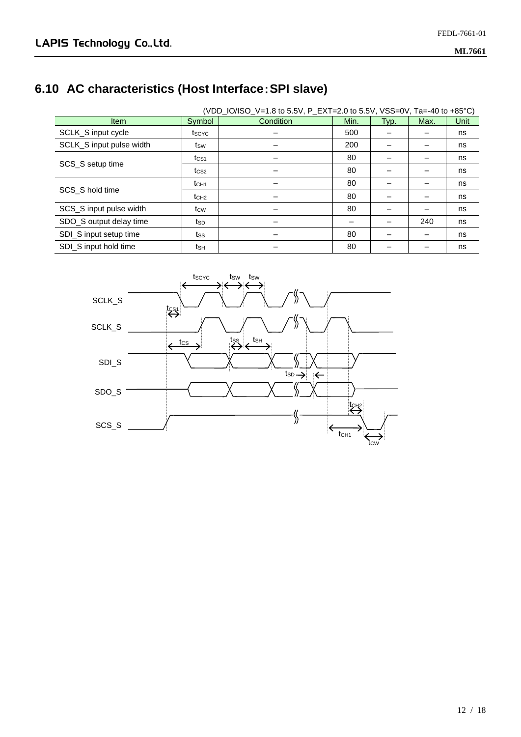### **6.10 AC characteristics (Host Interface**:**SPI slave)**

|                          | (VDD_IO/ISO_V=1.8 to 5.5V, P_EXT=2.0 to 5.5V, VSS=0V, Ta=-40 to +85°C) |           |      |      |      |      |  |
|--------------------------|------------------------------------------------------------------------|-----------|------|------|------|------|--|
| <b>Item</b>              | Symbol                                                                 | Condition | Min. | Typ. | Max. | Unit |  |
| SCLK_S input cycle       | tscyc                                                                  |           | 500  |      |      | ns   |  |
| SCLK_S input pulse width | tsw                                                                    |           | 200  |      |      | ns   |  |
| SCS_S setup time         | tcs <sub>1</sub>                                                       |           | 80   |      |      | ns   |  |
|                          | t <sub>CS2</sub>                                                       |           | 80   |      |      | ns   |  |
|                          | t <sub>CH1</sub>                                                       |           | 80   |      |      | ns   |  |
| SCS S hold time          | t <sub>CH2</sub>                                                       |           | 80   |      |      | ns   |  |
| SCS_S input pulse width  | t <sub>cw</sub>                                                        |           | 80   |      |      | ns   |  |
| SDO_S output delay time  | tsp                                                                    |           |      |      | 240  | ns   |  |
| SDI_S input setup time   | tss                                                                    |           | 80   |      |      | ns   |  |
| SDI S input hold time    | tsн                                                                    |           | 80   |      |      | ns   |  |

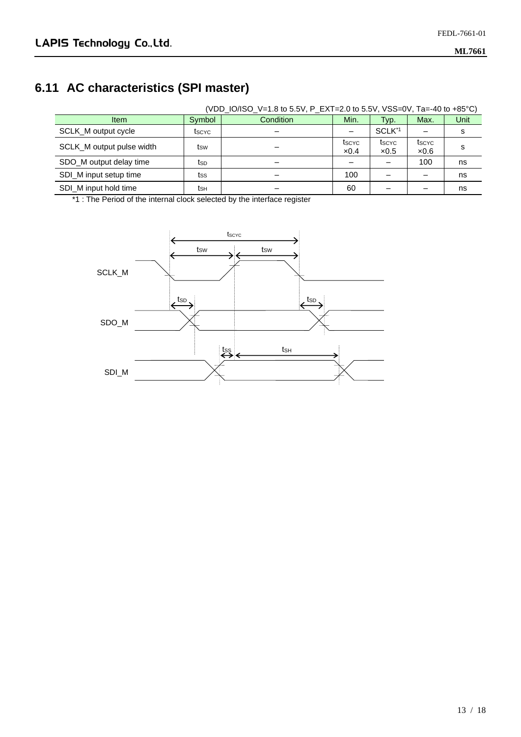### **6.11 AC characteristics (SPI master)**

|                           | (VDD_IO/ISO_V=1.8 to 5.5V, P_EXT=2.0 to 5.5V, VSS=0V, Ta=-40 to +85°C) |           |                       |                       |               |      |  |  |
|---------------------------|------------------------------------------------------------------------|-----------|-----------------------|-----------------------|---------------|------|--|--|
| <b>Item</b>               | Symbol                                                                 | Condition | Min.                  | Typ.                  | Max.          | Unit |  |  |
| SCLK M output cycle       | tscyc                                                                  |           |                       | SCLK <sup>*1</sup>    |               | s    |  |  |
| SCLK_M output pulse width | tsw                                                                    |           | tscyc<br>$\times 0.4$ | tscyc<br>$\times 0.5$ | tscyc<br>x0.6 | s    |  |  |
| SDO_M output delay time   | tsp                                                                    |           |                       |                       | 100           | ns   |  |  |
| SDI_M input setup time    | tss                                                                    |           | 100                   |                       |               | ns   |  |  |
| SDI M input hold time     | tsн                                                                    |           | 60                    |                       |               | ns   |  |  |

\*1 : The Period of the internal clock selected by the interface register

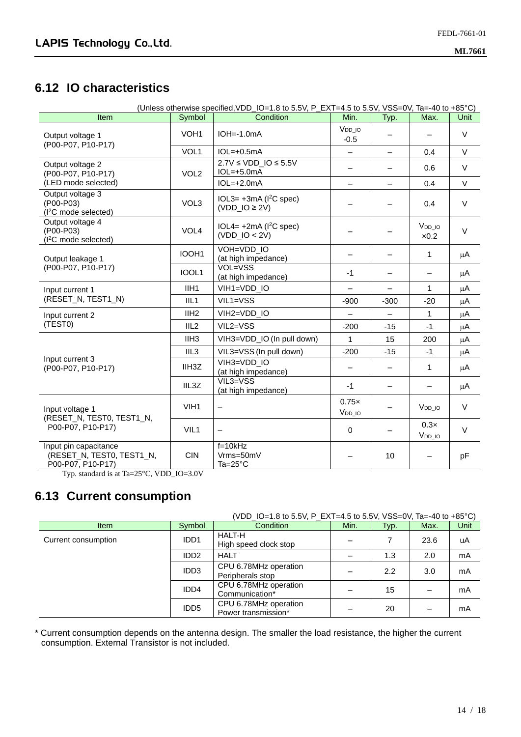#### **6.12 IO characteristics**

| (Unless otherwise specified, VDD_IO=1.8 to 5.5V, P_EXT=4.5 to 5.5V, VSS=0V, Ta=-40 to +85°C) |                    |                                                            |                          |                          |                            |             |  |
|----------------------------------------------------------------------------------------------|--------------------|------------------------------------------------------------|--------------------------|--------------------------|----------------------------|-------------|--|
| <b>Item</b>                                                                                  | Symbol             | Condition                                                  | Min.                     | Typ.                     | Max.                       | <b>Unit</b> |  |
| Output voltage 1<br>(P00-P07, P10-P17)                                                       | VOH <sub>1</sub>   | $IOH = -1.0mA$                                             | $V_{DD\_IO}$<br>$-0.5$   |                          |                            | V           |  |
|                                                                                              | VOL1               | $IOL=+0.5mA$                                               |                          | $\overline{\phantom{0}}$ | 0.4                        | V           |  |
| Output voltage 2<br>(P00-P07, P10-P17)                                                       | VOL <sub>2</sub>   | $2.7V \leq VDD$ IO ≤ 5.5V<br>$IOL=+5.0mA$                  |                          | $\overline{\phantom{0}}$ | 0.6                        | V           |  |
| (LED mode selected)                                                                          |                    | $IOL=+2.0mA$                                               | $\overline{\phantom{0}}$ | $\overline{\phantom{0}}$ | 0.4                        | $\vee$      |  |
| Output voltage 3<br>(P00-P03)<br>(I <sup>2</sup> C mode selected)                            | VOL3               | $IOL3=+3mA (I2C spec)$<br>$(VDD$ <sub>-IO</sub> $\geq$ 2V) |                          | —                        | 0.4                        | $\vee$      |  |
| Output voltage 4<br>(P00-P03)<br>(I <sup>2</sup> C mode selected)                            | VOL <sub>4</sub>   | $IOL4=+2mA (I2C spec)$<br>$(VDD$ <sub>-IO</sub> < 2V)      |                          |                          | V <sub>DD</sub> IO<br>x0.2 | $\vee$      |  |
| Output leakage 1                                                                             | IOOH <sub>1</sub>  | VOH=VDD IO<br>(at high impedance)                          |                          |                          | 1                          | μA          |  |
| (P00-P07, P10-P17)                                                                           | IOOL1              | VOL=VSS<br>(at high impedance)                             | $-1$                     | $\overline{\phantom{0}}$ | $\overline{\phantom{0}}$   | μA          |  |
| Input current 1                                                                              | IIH <sub>1</sub>   | VIH1=VDD IO                                                |                          |                          | $\mathbf{1}$               | μA          |  |
| (RESET_N, TEST1_N)                                                                           | III <sub>1</sub>   | $VIL1 = VSS$                                               | $-900$                   | $-300$                   | $-20$                      | μA          |  |
| Input current 2                                                                              | IIH2               | VIH2=VDD_IO                                                |                          |                          | 1                          | μA          |  |
| (TEST0)                                                                                      | III <sub>2</sub>   | VIL2=VSS                                                   | $-200$                   | $-15$                    | $-1$                       | μA          |  |
|                                                                                              | IIH <sub>3</sub>   | VIH3=VDD_IO (In pull down)                                 | 1                        | 15                       | 200                        | μA          |  |
|                                                                                              | IIL <sub>3</sub>   | VIL3=VSS (In pull down)                                    | $-200$                   | $-15$                    | $-1$                       | μA          |  |
| Input current 3<br>(P00-P07, P10-P17)                                                        | IIH <sub>3</sub> Z | VIH3=VDD IO<br>(at high impedance)                         | $\overline{\phantom{0}}$ | $\overline{\phantom{0}}$ | 1                          | μA          |  |
|                                                                                              | IIL3Z              | VIL3=VSS<br>(at high impedance)                            | $-1$                     | —                        |                            | μA          |  |
| Input voltage 1<br>(RESET_N, TEST0, TEST1_N,                                                 | VIH <sub>1</sub>   | $\qquad \qquad -$                                          | 0.75x<br>$VDD-10$        |                          | V <sub>DD_IO</sub>         | $\vee$      |  |
| P00-P07, P10-P17)                                                                            | VIL1               |                                                            | $\mathbf 0$              |                          | 0.3x<br>$V_{DD\_IO}$       | $\vee$      |  |
| Input pin capacitance<br>(RESET_N, TEST0, TEST1_N,<br>P00-P07, P10-P17)                      | <b>CIN</b>         | $f=10kHz$<br>Vrms=50mV<br>$Ta=25^{\circ}C$                 |                          | 10                       |                            | pF          |  |

Typ. standard is at Ta=25°C, VDD\_IO=3.0V

#### **6.13 Current consumption**

#### (VDD\_IO=1.8 to 5.5V, P\_EXT=4.5 to 5.5V, VSS=0V, Ta=-40 to +85°C)

| <b>Item</b>         | Symbol                       | <b>Condition</b>                             | Min. | Typ. | Max. | Unit |
|---------------------|------------------------------|----------------------------------------------|------|------|------|------|
| Current consumption | IDD <sub>1</sub>             | HALT-H<br>High speed clock stop              |      |      | 23.6 | uA   |
|                     | ID <sub>D</sub> <sub>2</sub> | <b>HALT</b>                                  |      | 1.3  | 2.0  | mA   |
|                     | IDD <sub>3</sub>             | CPU 6.78MHz operation<br>Peripherals stop    |      | 2.2  | 3.0  | mA   |
|                     | IDD4                         | CPU 6.78MHz operation<br>Communication*      |      | 15   |      | mA   |
|                     | IDD <sub>5</sub>             | CPU 6.78MHz operation<br>Power transmission* |      | 20   |      | mA   |

\* Current consumption depends on the antenna design. The smaller the load resistance, the higher the current consumption. External Transistor is not included.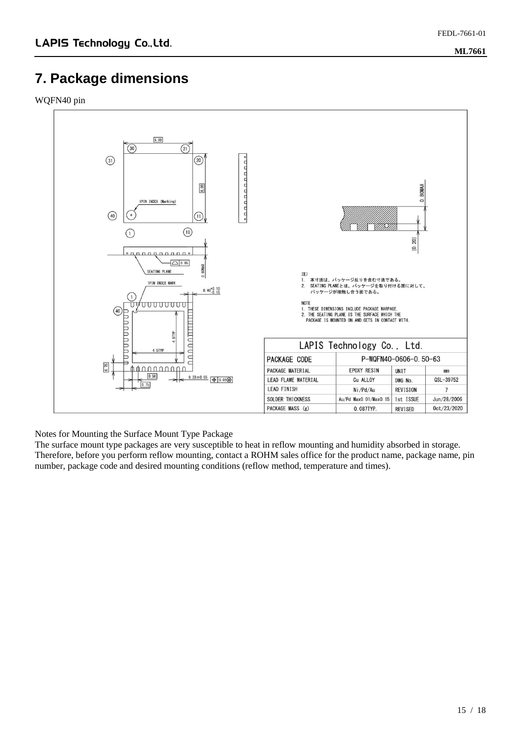#### **7. Package dimensions**

WQFN40 pin



Notes for Mounting the Surface Mount Type Package

The surface mount type packages are very susceptible to heat in reflow mounting and humidity absorbed in storage. Therefore, before you perform reflow mounting, contact a ROHM sales office for the product name, package name, pin number, package code and desired mounting conditions (reflow method, temperature and times).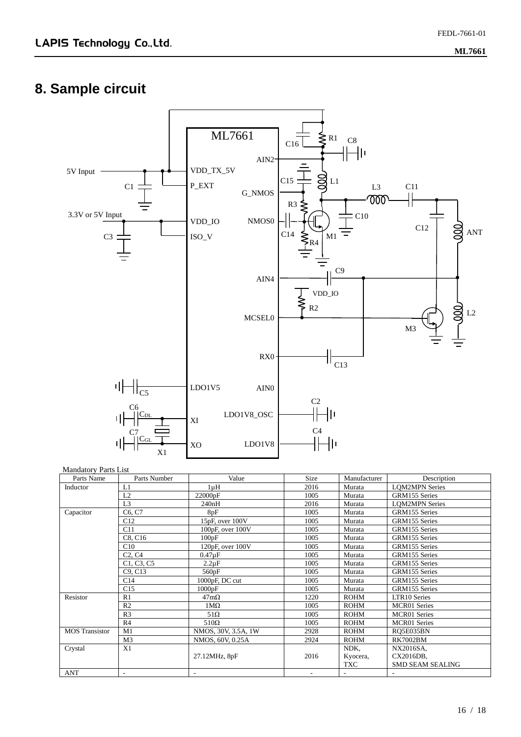## **8. Sample circuit**



#### Mandatory Parts List

| Parts Name            | Parts Number                    | Value                 | Size | Manufacturer | Description             |
|-----------------------|---------------------------------|-----------------------|------|--------------|-------------------------|
| Inductor              | L1                              | $1 \mu H$             | 2016 | Murata       | <b>LOM2MPN</b> Series   |
|                       | L2                              | 22000pF               | 1005 | Murata       | GRM155 Series           |
|                       | L <sub>3</sub>                  | 240nH                 | 2016 | Murata       | <b>LQM2MPN</b> Series   |
| Capacitor             | C6, C7                          | 8pF                   | 1005 | Murata       | GRM155 Series           |
|                       | C12                             | 15pF, over 100V       | 1005 | Murata       | GRM155 Series           |
|                       | C11                             | $100pF$ , over $100V$ | 1005 | Murata       | GRM155 Series           |
|                       | C8. C16                         | 100pF                 | 1005 | Murata       | GRM155 Series           |
|                       | C10                             | 120pF, over 100V      | 1005 | Murata       | GRM155 Series           |
|                       | C <sub>2</sub> , C <sub>4</sub> | $0.47\mu F$           | 1005 | Murata       | GRM155 Series           |
|                       | C1, C3, C5                      | $2.2 \mu F$           | 1005 | Murata       | GRM155 Series           |
|                       | C9. C13                         | 560pF                 | 1005 | Murata       | GRM155 Series           |
|                       | C14                             | 1000pF, DC cut        | 1005 | Murata       | GRM155 Series           |
|                       | C15                             | 1000pF                | 1005 | Murata       | GRM155 Series           |
| Resistor              | R1                              | $47 \text{m}\Omega$   | 1220 | <b>ROHM</b>  | LTR10 Series            |
|                       | R <sub>2</sub>                  | $1\text{M}\Omega$     | 1005 | <b>ROHM</b>  | <b>MCR01</b> Series     |
|                       | R <sub>3</sub>                  | $51\Omega$            | 1005 | <b>ROHM</b>  | <b>MCR01</b> Series     |
|                       | R <sub>4</sub>                  | $510\Omega$           | 1005 | <b>ROHM</b>  | <b>MCR01</b> Series     |
| <b>MOS</b> Transistor | M1                              | NMOS, 30V, 3.5A, 1W   | 2928 | <b>ROHM</b>  | RQ5E035BN               |
|                       | M <sub>3</sub>                  | NMOS, 60V, 0.25A      | 2924 | <b>ROHM</b>  | <b>RK7002BM</b>         |
| Crystal               | X1                              |                       |      | NDK.         | NX2016SA,               |
|                       |                                 | 27.12MHz, 8pF         | 2016 | Kyocera,     | CX2016DB,               |
|                       |                                 |                       |      | <b>TXC</b>   | <b>SMD SEAM SEALING</b> |
| <b>ANT</b>            |                                 |                       |      |              |                         |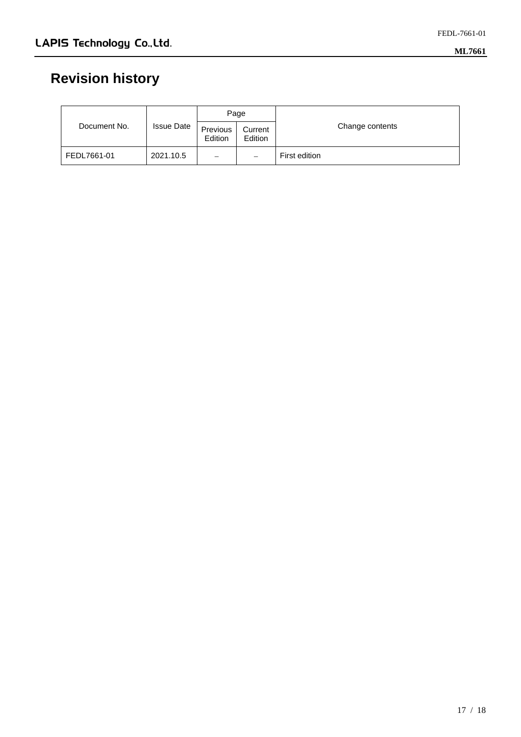# **Revision history**

|              | <b>Issue Date</b> | Page                |                          |                 |
|--------------|-------------------|---------------------|--------------------------|-----------------|
| Document No. |                   | Previous<br>Edition | Current<br>Edition       | Change contents |
| FEDL7661-01  | 2021.10.5         | $\equiv$            | $\overline{\phantom{0}}$ | First edition   |